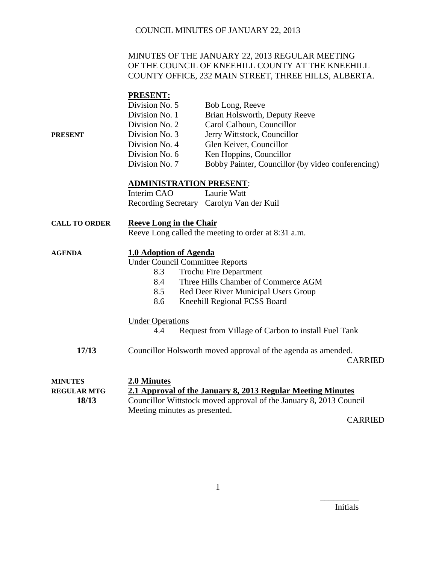#### MINUTES OF THE JANUARY 22, 2013 REGULAR MEETING OF THE COUNCIL OF KNEEHILL COUNTY AT THE KNEEHILL COUNTY OFFICE, 232 MAIN STREET, THREE HILLS, ALBERTA.

#### **PRESENT:**

|         | Division No. 5 | Bob Long, Reeve                                   |
|---------|----------------|---------------------------------------------------|
|         | Division No. 1 | Brian Holsworth, Deputy Reeve                     |
|         | Division No. 2 | Carol Calhoun, Councillor                         |
| PRESENT | Division No. 3 | Jerry Wittstock, Councillor                       |
|         | Division No. 4 | Glen Keiver, Councillor                           |
|         | Division No. 6 | Ken Hoppins, Councillor                           |
|         | Division No. 7 | Bobby Painter, Councillor (by video conferencing) |

#### **ADMINISTRATION PRESENT**:

| Interim CAO | Laurie Watt                              |
|-------------|------------------------------------------|
|             | Recording Secretary Carolyn Van der Kuil |

| <b>CALL TO ORDER</b> | <b>Reeve Long in the Chair</b>                      |
|----------------------|-----------------------------------------------------|
|                      | Reeve Long called the meeting to order at 8:31 a.m. |

### **AGENDA 1.0 Adoption of Agenda**

Under Council Committee Reports

- 8.3 Trochu Fire Department
- 8.4 Three Hills Chamber of Commerce AGM
- 8.5 Red Deer River Municipal Users Group
- 8.6 Kneehill Regional FCSS Board

#### Under Operations

- 4.4 Request from Village of Carbon to install Fuel Tank
- **17/13** Councillor Holsworth moved approval of the agenda as amended. CARRIED

| <b>MINUTES</b>     | 2.0 Minutes                                                        |  |
|--------------------|--------------------------------------------------------------------|--|
| <b>REGULAR MTG</b> | 2.1 Approval of the January 8, 2013 Regular Meeting Minutes        |  |
| 18/13              | Councillor Wittstock moved approval of the January 8, 2013 Council |  |
|                    | Meeting minutes as presented.                                      |  |
|                    | $\bigcap$ and $\bigcap$                                            |  |

CARRIED

Initials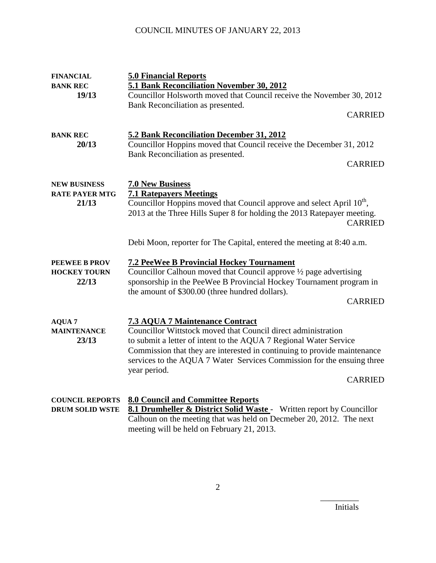| <b>FINANCIAL</b>                                      | <b>5.0 Financial Reports</b>                                                                                                                                                                                                                                                                                                                                         |
|-------------------------------------------------------|----------------------------------------------------------------------------------------------------------------------------------------------------------------------------------------------------------------------------------------------------------------------------------------------------------------------------------------------------------------------|
| <b>BANK REC</b><br>19/13                              | 5.1 Bank Reconciliation November 30, 2012<br>Councillor Holsworth moved that Council receive the November 30, 2012<br>Bank Reconciliation as presented.                                                                                                                                                                                                              |
|                                                       | <b>CARRIED</b>                                                                                                                                                                                                                                                                                                                                                       |
| <b>BANK REC</b><br>20/13                              | 5.2 Bank Reconciliation December 31, 2012<br>Councillor Hoppins moved that Council receive the December 31, 2012<br>Bank Reconciliation as presented.<br><b>CARRIED</b>                                                                                                                                                                                              |
| <b>NEW BUSINESS</b><br><b>RATE PAYER MTG</b><br>21/13 | <b>7.0 New Business</b><br><b>7.1 Ratepayers Meetings</b><br>Councillor Hoppins moved that Council approve and select April 10 <sup>th</sup> ,<br>2013 at the Three Hills Super 8 for holding the 2013 Ratepayer meeting.<br><b>CARRIED</b>                                                                                                                          |
|                                                       | Debi Moon, reporter for The Capital, entered the meeting at 8:40 a.m.                                                                                                                                                                                                                                                                                                |
| <b>PEEWEE B PROV</b><br><b>HOCKEY TOURN</b><br>22/13  | <b>7.2 PeeWee B Provincial Hockey Tournament</b><br>Councillor Calhoun moved that Council approve 1/2 page advertising<br>sponsorship in the PeeWee B Provincial Hockey Tournament program in<br>the amount of \$300.00 (three hundred dollars).<br><b>CARRIED</b>                                                                                                   |
| <b>AQUA 7</b><br><b>MAINTENANCE</b><br>23/13          | <b>7.3 AQUA 7 Maintenance Contract</b><br>Councillor Wittstock moved that Council direct administration<br>to submit a letter of intent to the AQUA 7 Regional Water Service<br>Commission that they are interested in continuing to provide maintenance<br>services to the AQUA 7 Water Services Commission for the ensuing three<br>year period.<br><b>CARRIED</b> |
| <b>COUNCIL REPORTS</b><br><b>DRUM SOLID WSTE</b>      | <b>8.0 Council and Committee Reports</b><br>8.1 Drumheller & District Solid Waste - Written report by Councillor<br>Calhoun on the meeting that was held on Decmeber 20, 2012. The next<br>meeting will be held on February 21, 2013.                                                                                                                                |

Initials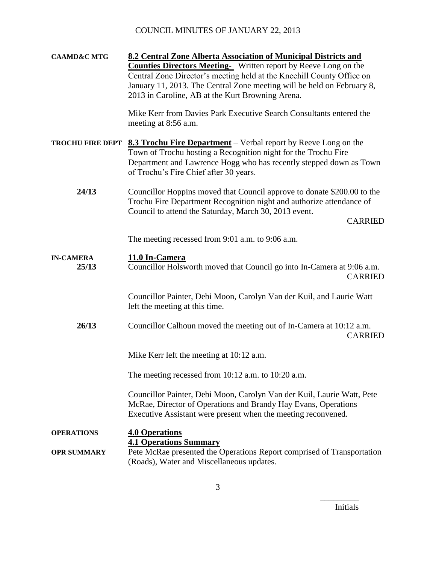**CAAMD&C MTG 8.2 Central Zone Alberta Association of Municipal Districts and Counties Directors Meeting-** Written report by Reeve Long on the Central Zone Director's meeting held at the Kneehill County Office on January 11, 2013. The Central Zone meeting will be held on February 8, 2013 in Caroline, AB at the Kurt Browning Arena. Mike Kerr from Davies Park Executive Search Consultants entered the meeting at 8:56 a.m. **TROCHU FIRE DEPT 8.3 Trochu Fire Department** – Verbal report by Reeve Long on the Town of Trochu hosting a Recognition night for the Trochu Fire Department and Lawrence Hogg who has recently stepped down as Town of Trochu's Fire Chief after 30 years. **24/13** Councillor Hoppins moved that Council approve to donate \$200.00 to the Trochu Fire Department Recognition night and authorize attendance of Council to attend the Saturday, March 30, 2013 event. CARRIED The meeting recessed from 9:01 a.m. to 9:06 a.m. **IN-CAMERA 11.0 In-Camera 25/13** Councillor Holsworth moved that Council go into In-Camera at 9:06 a.m. CARRIED Councillor Painter, Debi Moon, Carolyn Van der Kuil, and Laurie Watt left the meeting at this time. **26/13** Councillor Calhoun moved the meeting out of In-Camera at 10:12 a.m. CARRIED Mike Kerr left the meeting at 10:12 a.m. The meeting recessed from 10:12 a.m. to 10:20 a.m. Councillor Painter, Debi Moon, Carolyn Van der Kuil, Laurie Watt, Pete McRae, Director of Operations and Brandy Hay Evans, Operations Executive Assistant were present when the meeting reconvened. **OPERATIONS 4.0 Operations 4.1 Operations Summary OPR SUMMARY** Pete McRae presented the Operations Report comprised of Transportation (Roads), Water and Miscellaneous updates.

Initials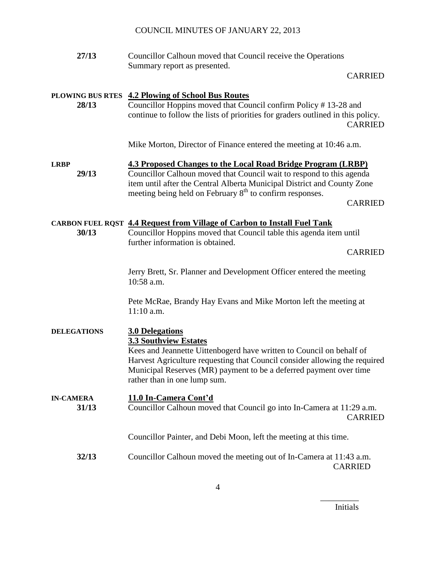**27/13** Councillor Calhoun moved that Council receive the Operations Summary report as presented.

CARRIED

#### **PLOWING BUS RTES 4.2 Plowing of School Bus Routes**

**28/13** Councillor Hoppins moved that Council confirm Policy # 13-28 and continue to follow the lists of priorities for graders outlined in this policy. CARRIED

Mike Morton, Director of Finance entered the meeting at 10:46 a.m.

## **LRBP 4.3 Proposed Changes to the Local Road Bridge Program (LRBP)**

**29/13** Councillor Calhoun moved that Council wait to respond to this agenda item until after the Central Alberta Municipal District and County Zone meeting being held on February  $8<sup>th</sup>$  to confirm responses.

CARRIED

#### **CARBON FUEL RQST 4.4 Request from Village of Carbon to Install Fuel Tank**

**30/13** Councillor Hoppins moved that Council table this agenda item until further information is obtained.

CARRIED

Jerry Brett, Sr. Planner and Development Officer entered the meeting 10:58 a.m.

Pete McRae, Brandy Hay Evans and Mike Morton left the meeting at 11:10 a.m.

## **DELEGATIONS 3.0 Delegations**

**3.3 Southview Estates**

Kees and Jeannette Uittenbogerd have written to Council on behalf of Harvest Agriculture requesting that Council consider allowing the required Municipal Reserves (MR) payment to be a deferred payment over time rather than in one lump sum.

# **IN-CAMERA 11.0 In-Camera Cont'd**

**31/13** Councillor Calhoun moved that Council go into In-Camera at 11:29 a.m. CARRIED

Councillor Painter, and Debi Moon, left the meeting at this time.

**32/13** Councillor Calhoun moved the meeting out of In-Camera at 11:43 a.m. CARRIED

Initials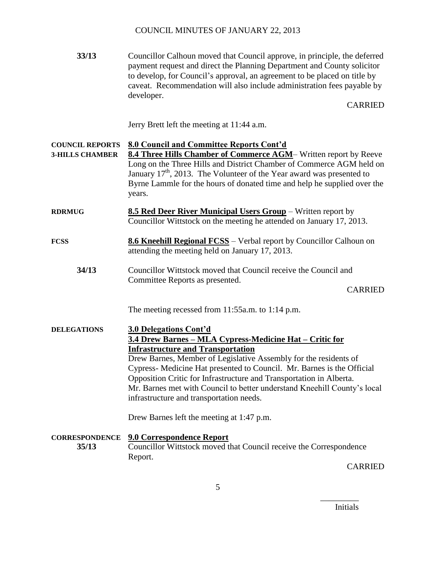**33/13** Councillor Calhoun moved that Council approve, in principle, the deferred payment request and direct the Planning Department and County solicitor to develop, for Council's approval, an agreement to be placed on title by caveat. Recommendation will also include administration fees payable by developer.

CARRIED

Jerry Brett left the meeting at 11:44 a.m.

#### **COUNCIL REPORTS 8.0 Council and Committee Reports Cont'd**

- **3-HILLS CHAMBER 8.4 Three Hills Chamber of Commerce AGM** Written report by Reeve Long on the Three Hills and District Chamber of Commerce AGM held on January  $17<sup>th</sup>$ , 2013. The Volunteer of the Year award was presented to Byrne Lammle for the hours of donated time and help he supplied over the years.
- **RDRMUG 8.5 Red Deer River Municipal Users Group** Written report by Councillor Wittstock on the meeting he attended on January 17, 2013.
- **FCSS** 8.6 Kneehill Regional FCSS Verbal report by Councillor Calhoun on attending the meeting held on January 17, 2013.
	- **34/13** Councillor Wittstock moved that Council receive the Council and Committee Reports as presented.

CARRIED

The meeting recessed from 11:55a.m. to 1:14 p.m.

#### **DELEGATIONS 3.0 Delegations Cont'd 3.4 Drew Barnes – MLA Cypress-Medicine Hat – Critic for Infrastructure and Transportation**

Drew Barnes, Member of Legislative Assembly for the residents of Cypress- Medicine Hat presented to Council. Mr. Barnes is the Official Opposition Critic for Infrastructure and Transportation in Alberta. Mr. Barnes met with Council to better understand Kneehill County's local infrastructure and transportation needs.

Drew Barnes left the meeting at 1:47 p.m.

**CORRESPONDENCE 9.0 Correspondence Report 35/13** Councillor Wittstock moved that Council receive the Correspondence Report.

CARRIED

\_\_\_\_\_\_\_\_\_ Initials